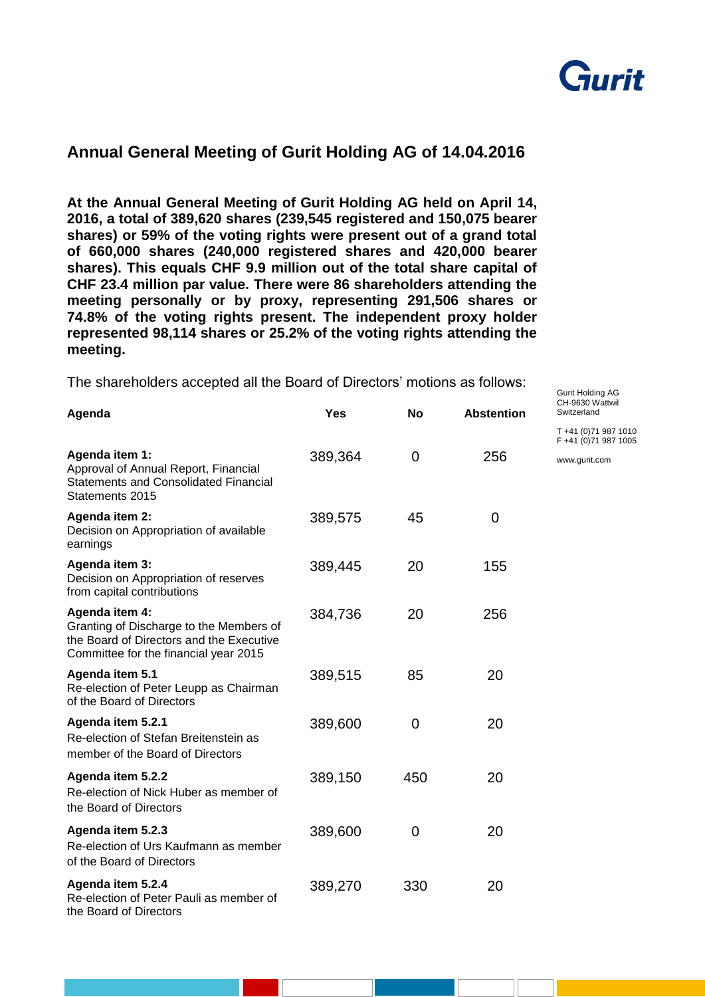

Gurit Holding AG

## **Annual General Meeting of Gurit Holding AG of 14.04.2016**

**At the Annual General Meeting of Gurit Holding AG held on April 14, 2016, a total of 389,620 shares (239,545 registered and 150,075 bearer shares) or 59% of the voting rights were present out of a grand total of 660,000 shares (240,000 registered shares and 420,000 bearer shares). This equals CHF 9.9 million out of the total share capital of CHF 23.4 million par value. There were 86 shareholders attending the meeting personally or by proxy, representing 291,506 shares or 74.8% of the voting rights present. The independent proxy holder represented 98,114 shares or 25.2% of the voting rights attending the meeting.** 

The shareholders accepted all the Board of Directors' motions as follows:

| Agenda                                                                                                                                         | <b>Yes</b> | <b>No</b>   | <b>Abstention</b> | CH-9630 Wattwil<br>Switzerland                 |
|------------------------------------------------------------------------------------------------------------------------------------------------|------------|-------------|-------------------|------------------------------------------------|
|                                                                                                                                                |            |             |                   | T +41 (0) 71 987 1010<br>F +41 (0) 71 987 1005 |
| Agenda item 1:<br>Approval of Annual Report, Financial<br><b>Statements and Consolidated Financial</b><br>Statements 2015                      | 389,364    | 0           | 256               | www.gurit.com                                  |
| Agenda item 2:<br>Decision on Appropriation of available<br>earnings                                                                           | 389,575    | 45          | 0                 |                                                |
| Agenda item 3:<br>Decision on Appropriation of reserves<br>from capital contributions                                                          | 389,445    | 20          | 155               |                                                |
| Agenda item 4:<br>Granting of Discharge to the Members of<br>the Board of Directors and the Executive<br>Committee for the financial year 2015 | 384,736    | 20          | 256               |                                                |
| Agenda item 5.1<br>Re-election of Peter Leupp as Chairman<br>of the Board of Directors                                                         | 389,515    | 85          | 20                |                                                |
| Agenda item 5.2.1<br>Re-election of Stefan Breitenstein as<br>member of the Board of Directors                                                 | 389,600    | $\mathbf 0$ | 20                |                                                |
| Agenda item 5.2.2<br>Re-election of Nick Huber as member of<br>the Board of Directors                                                          | 389,150    | 450         | 20                |                                                |
| Agenda item 5.2.3<br>Re-election of Urs Kaufmann as member<br>of the Board of Directors                                                        | 389,600    | 0           | 20                |                                                |
| Agenda item 5.2.4<br>Re-election of Peter Pauli as member of<br>the Board of Directors                                                         | 389,270    | 330         | 20                |                                                |